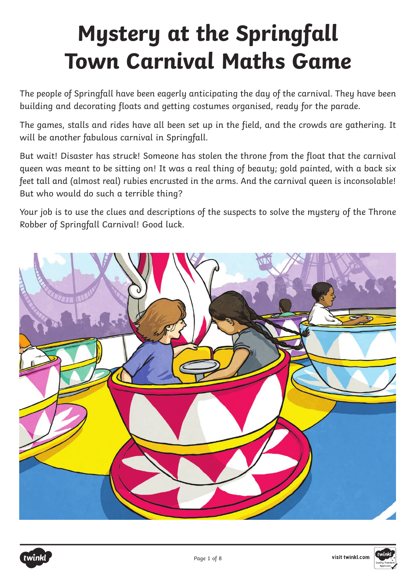# **Mystery at the Springfall Town Carnival Maths Game**

The people of Springfall have been eagerly anticipating the day of the carnival. They have been building and decorating floats and getting costumes organised, ready for the parade.

The games, stalls and rides have all been set up in the field, and the crowds are gathering. It will be another fabulous carnival in Springfall.

But wait! Disaster has struck! Someone has stolen the throne from the float that the carnival queen was meant to be sitting on! It was a real thing of beauty; gold painted, with a back six feet tall and (almost real) rubies encrusted in the arms. And the carnival queen is inconsolable! But who would do such a terrible thing?

Your job is to use the clues and descriptions of the suspects to solve the mystery of the Throne Robber of Springfall Carnival! Good luck.





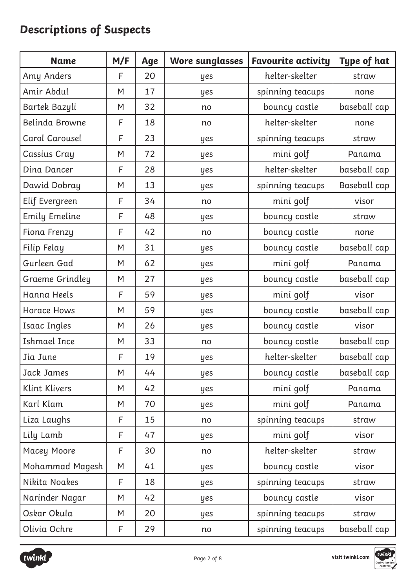# **Descriptions of Suspects**

| <b>Name</b>            | M/F | Age | <b>Wore sunglasses</b> | <b>Favourite activity</b> | Type of hat  |
|------------------------|-----|-----|------------------------|---------------------------|--------------|
| Amy Anders             | F   | 20  | yes                    | helter-skelter            | straw        |
| Amir Abdul             | M   | 17  | yes                    | spinning teacups          | none         |
| Bartek Bazyli          | M   | 32  | no                     | bouncy castle             | baseball cap |
| Belinda Browne         | F   | 18  | no                     | helter-skelter            | none         |
| Carol Carousel         | F   | 23  | yes                    | spinning teacups          | straw        |
| Cassius Cray           | M   | 72  | yes                    | mini golf                 | Panama       |
| Dina Dancer            | F   | 28  | yes                    | helter-skelter            | baseball cap |
| Dawid Dobray           | M   | 13  | yes                    | spinning teacups          | Baseball cap |
| Elif Evergreen         | F   | 34  | no                     | mini golf                 | visor        |
| <b>Emily Emeline</b>   | F   | 48  | yes                    | bouncy castle             | straw        |
| Fiona Frenzy           | F   | 42  | no                     | bouncy castle             | none         |
| Filip Felay            | M   | 31  | yes                    | bouncy castle             | baseball cap |
| Gurleen Gad            | M   | 62  | yes                    | mini golf                 | Panama       |
| <b>Graeme Grindley</b> | M   | 27  | yes                    | bouncy castle             | baseball cap |
| Hanna Heels            | F   | 59  | yes                    | mini golf                 | visor        |
| <b>Horace Hows</b>     | M   | 59  | yes                    | bouncy castle             | baseball cap |
| <b>Isaac Ingles</b>    | M   | 26  | yes                    | bouncy castle             | visor        |
| <b>Ishmael Ince</b>    | M   | 33  | no                     | bouncy castle             | baseball cap |
| Jia June               | F   | 19  | yes                    | helter-skelter            | baseball cap |
| Jack James             | M   | 44  | yes                    | bouncy castle             | baseball cap |
| Klint Klivers          | M   | 42  | yes                    | mini golf                 | Panama       |
| Karl Klam              | M   | 70  | yes                    | mini golf                 | Panama       |
| Liza Laughs            | F   | 15  | no                     | spinning teacups          | straw        |
| Lily Lamb              | F   | 47  | yes                    | mini golf                 | visor        |
| Macey Moore            | F   | 30  | no                     | helter-skelter            | straw        |
| Mohammad Magesh        | M   | 41  | yes                    | bouncy castle             | visor        |
| Nikita Noakes          | F   | 18  | yes                    | spinning teacups          | straw        |
| Narinder Nagar         | M   | 42  | yes                    | bouncy castle             | visor        |
| Oskar Okula            | M   | 20  | yes                    | spinning teacups          | straw        |
| Olivia Ochre           | F   | 29  | no                     | spinning teacups          | baseball cap |



visit twinkl.com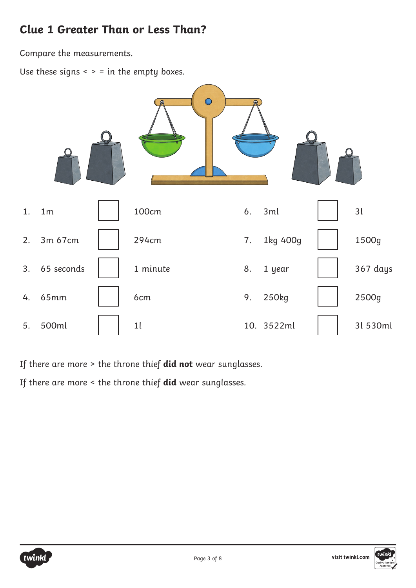### **Clue 1 Greater Than or Less Than?**

Compare the measurements.

Use these signs  $\leq$   $>$  = in the empty boxes.



If there are more > the throne thief **did not** wear sunglasses.

If there are more < the throne thief **did** wear sunglasses.



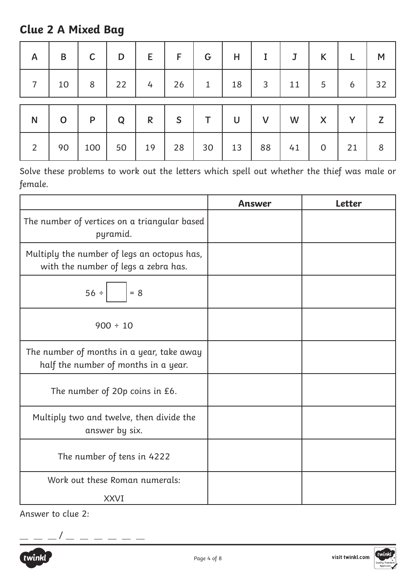## **Clue 2 A Mixed Bag**

| $\mathsf{A}$   | $\mathsf B$ | $\mathsf{C}$ | D  | E            | F  | G            | Η  |    | J  | K           |    | M  |
|----------------|-------------|--------------|----|--------------|----|--------------|----|----|----|-------------|----|----|
| $\overline{7}$ | 10          | 8            | 22 | 4            | 26 | $\mathbf{1}$ | 18 | 3  | 11 | 5           | 6  | 32 |
| $\mathsf{N}$   | $\mathbf O$ | $\mathsf{P}$ | Q  | $\mathsf{R}$ | S  | т            | U  | V  | W  | X           | Y  | Z  |
| $\overline{2}$ | 90          | 100          | 50 | 19           | 28 | 30           | 13 | 88 | 41 | $\mathbf 0$ | 21 | 8  |

Solve these problems to work out the letters which spell out whether the thief was male or female.

|                                                                                     | <b>Answer</b> | <b>Letter</b> |
|-------------------------------------------------------------------------------------|---------------|---------------|
| The number of vertices on a triangular based<br>pyramid.                            |               |               |
| Multiply the number of legs an octopus has,<br>with the number of legs a zebra has. |               |               |
| 56 ÷<br>$= 8$                                                                       |               |               |
| $900 \div 10$                                                                       |               |               |
| The number of months in a year, take away<br>half the number of months in a year.   |               |               |
| The number of 20p coins in £6.                                                      |               |               |
| Multiply two and twelve, then divide the<br>answer by six.                          |               |               |
| The number of tens in 4222                                                          |               |               |
| Work out these Roman numerals:                                                      |               |               |
| <b>XXVI</b>                                                                         |               |               |

Answer to clue 2:



 $- - -$ 

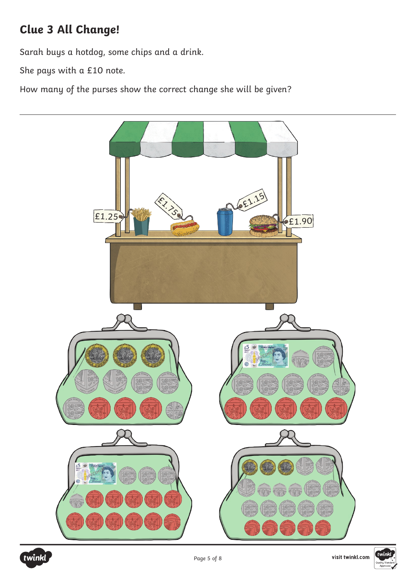## **Clue 3 All Change!**

Sarah buys a hotdog, some chips and a drink.

She pays with a £10 note.

How many of the purses show the correct change she will be given?





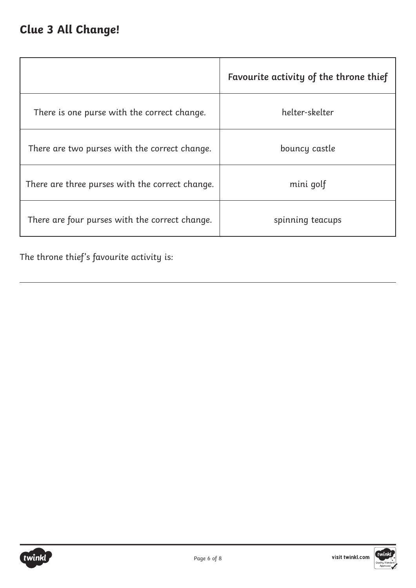## **Clue 3 All Change!**

|                                                 | Favourite activity of the throne thief |
|-------------------------------------------------|----------------------------------------|
| There is one purse with the correct change.     | helter-skelter                         |
| There are two purses with the correct change.   | bouncy castle                          |
| There are three purses with the correct change. | mini golf                              |
| There are four purses with the correct change.  | spinning teacups                       |

The throne thief's favourite activity is:



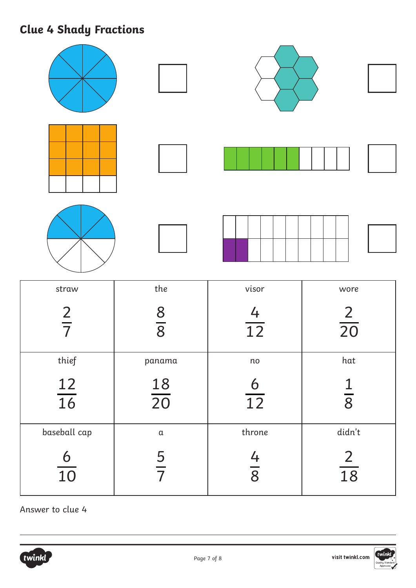# **Clue 4 Shady Fractions**

| straw           | the             | visor                  | wore                                    |
|-----------------|-----------------|------------------------|-----------------------------------------|
| $\frac{2}{7}$   | $\frac{8}{8}$   | $\frac{4}{12}$         | $\frac{2}{20}$                          |
| thief           | panama          | $\mathop{\mathsf{no}}$ | $\ensuremath{\mathsf{hat}}$             |
| $\frac{12}{16}$ | $\frac{18}{20}$ | $\frac{6}{12}$         | $\frac{1}{8}$                           |
| baseball cap    | $\mathfrak a$   | throne                 | didn't                                  |
| $\frac{6}{10}$  | $\frac{5}{7}$   | $\frac{4}{8}$          | $\frac{2}{\sqrt{2}}$<br>$\overline{18}$ |

Answer to clue 4

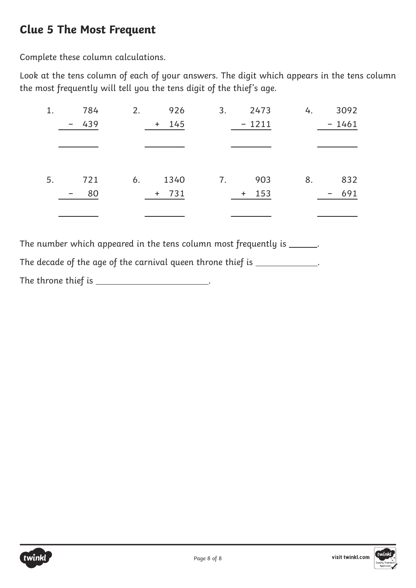### **Clue 5 The Most Frequent**

Complete these column calculations.

Look at the tens column of each of your answers. The digit which appears in the tens column the most frequently will tell you the tens digit of the thief's age.

| 1. | 784                             | 926<br>2.  | 3.<br>2473 | 4. | 3092                                |
|----|---------------------------------|------------|------------|----|-------------------------------------|
|    | 439<br>$\overline{\phantom{m}}$ | 145<br>$+$ | $-1211$    |    | $-1461$                             |
|    |                                 |            |            |    |                                     |
|    |                                 |            |            |    |                                     |
|    |                                 |            |            |    |                                     |
| 5. | 721                             | 1340<br>6. | 903<br>7.  | 8. | 832                                 |
|    | 80                              | $+ 731$    | $+ 153$    |    | 691<br>$\qquad \qquad \blacksquare$ |
|    |                                 |            |            |    |                                     |
|    |                                 |            |            |    |                                     |

The number which appeared in the tens column most frequently is \_\_\_\_\_\_.

The decade of the age of the carnival queen throne thief is \_\_\_\_\_\_\_\_\_\_\_\_\_. The throne thief is \_\_\_\_\_\_\_\_\_\_\_\_\_\_\_\_\_\_\_\_\_\_.

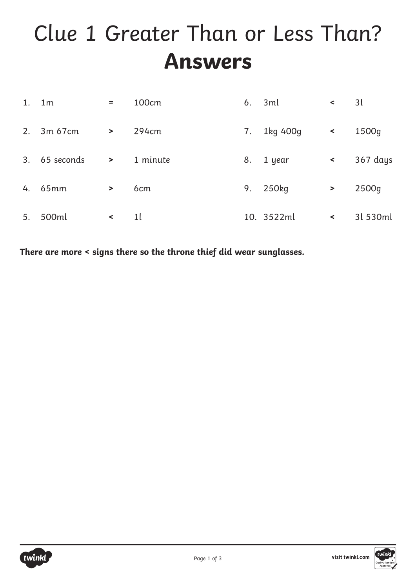# Clue 1 Greater Than or Less Than? **Answers**

|    | $1.$ 1m    | $=$           | 100cm           | 6. | 3ml        | $\prec$   | 3l       |
|----|------------|---------------|-----------------|----|------------|-----------|----------|
|    | 2. 3m 67cm | $\rightarrow$ | 294cm           | 7. | 1kg 400g   | $\leq$    | 1500g    |
| 3. | 65 seconds | $\geq$        | 1 minute        | 8. | 1 year     | $\,<$     | 367 days |
|    | 4. 65mm    | $\geq$        | 6 <sub>cm</sub> | 9. | 250kg      | $\, > \,$ | 2500g    |
| 5. | 500ml      | $\prec$       | 1 <sup>l</sup>  |    | 10. 3522ml | $\,<$     | 31 530ml |

**There are more < signs there so the throne thief did wear sunglasses.**



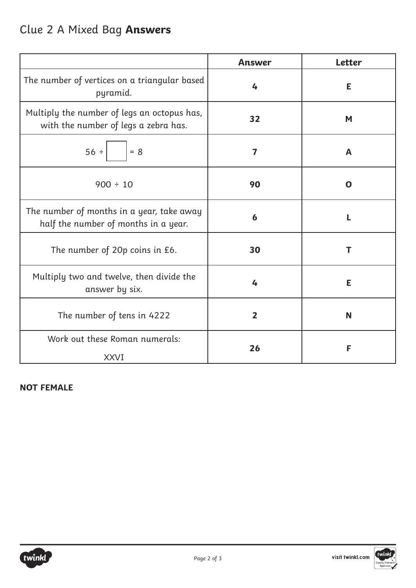|                                                                                     | <b>Answer</b>           | <b>Letter</b> |
|-------------------------------------------------------------------------------------|-------------------------|---------------|
| The number of vertices on a triangular based<br>pyramid.                            | 4                       | E             |
| Multiply the number of legs an octopus has,<br>with the number of legs a zebra has. | 32                      | M             |
| 56 ÷<br>$= 8$                                                                       | $\overline{\mathbf{z}}$ | A             |
| $900 \div 10$                                                                       | 90                      | O             |
| The number of months in a year, take away<br>half the number of months in a year.   | $\boldsymbol{6}$        | L             |
| The number of 20p coins in £6.                                                      | 30                      | т             |
| Multiply two and twelve, then divide the<br>answer by six.                          | 4                       | E             |
| The number of tens in 4222                                                          | $\overline{2}$          | N             |
| Work out these Roman numerals:<br><b>XXVI</b>                                       | 26                      | F             |

#### **NOT FEMALE**